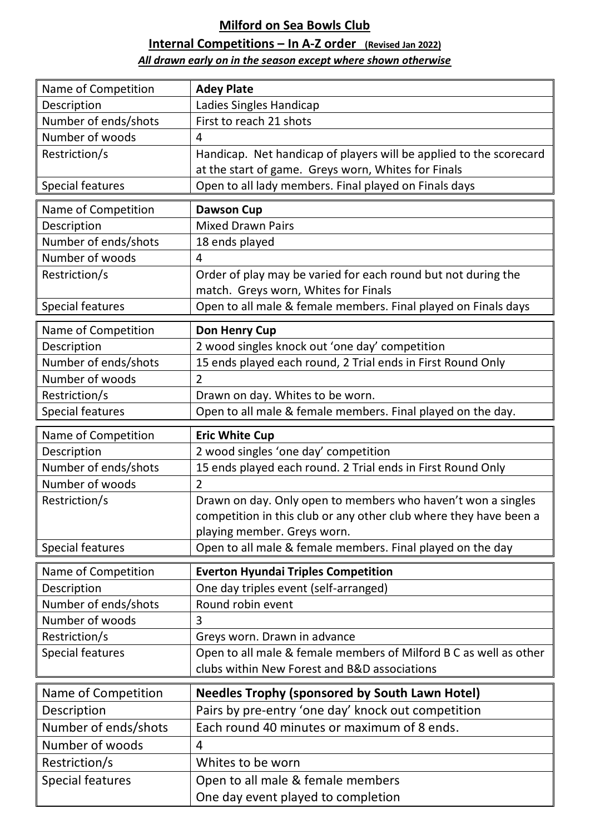## **Milford on Sea Bowls Club**

## **Internal Competitions – In A-Z order (Revised Jan 2022)**

## *All drawn early on in the season except where shown otherwise*

| Name of Competition                     | <b>Adey Plate</b>                                                       |
|-----------------------------------------|-------------------------------------------------------------------------|
| Description                             | Ladies Singles Handicap                                                 |
| Number of ends/shots                    | First to reach 21 shots                                                 |
| Number of woods                         | 4                                                                       |
| Restriction/s                           | Handicap. Net handicap of players will be applied to the scorecard      |
|                                         | at the start of game. Greys worn, Whites for Finals                     |
| <b>Special features</b>                 | Open to all lady members. Final played on Finals days                   |
| Name of Competition                     | <b>Dawson Cup</b>                                                       |
| Description                             | <b>Mixed Drawn Pairs</b>                                                |
| Number of ends/shots                    | 18 ends played                                                          |
| Number of woods                         | 4                                                                       |
| Restriction/s                           | Order of play may be varied for each round but not during the           |
|                                         | match. Greys worn, Whites for Finals                                    |
| <b>Special features</b>                 | Open to all male & female members. Final played on Finals days          |
| Name of Competition                     | <b>Don Henry Cup</b>                                                    |
| Description                             | 2 wood singles knock out 'one day' competition                          |
| Number of ends/shots                    | 15 ends played each round, 2 Trial ends in First Round Only             |
| Number of woods                         | $\overline{2}$                                                          |
| Restriction/s                           | Drawn on day. Whites to be worn.                                        |
| <b>Special features</b>                 | Open to all male & female members. Final played on the day.             |
| Name of Competition                     | <b>Eric White Cup</b>                                                   |
| Description                             | 2 wood singles 'one day' competition                                    |
| Number of ends/shots                    | 15 ends played each round. 2 Trial ends in First Round Only             |
| Number of woods                         | $\overline{2}$                                                          |
| Restriction/s                           | Drawn on day. Only open to members who haven't won a singles            |
|                                         |                                                                         |
|                                         | competition in this club or any other club where they have been a       |
|                                         | playing member. Greys worn.                                             |
| <b>Special features</b>                 | Open to all male & female members. Final played on the day              |
|                                         |                                                                         |
| Name of Competition                     | <b>Everton Hyundai Triples Competition</b>                              |
| Description                             | One day triples event (self-arranged)<br>Round robin event              |
| Number of ends/shots<br>Number of woods | 3                                                                       |
| Restriction/s                           | Greys worn. Drawn in advance                                            |
| <b>Special features</b>                 | Open to all male & female members of Milford B C as well as other       |
|                                         | clubs within New Forest and B&D associations                            |
|                                         |                                                                         |
| Name of Competition                     | <b>Needles Trophy (sponsored by South Lawn Hotel)</b>                   |
| Description                             | Pairs by pre-entry 'one day' knock out competition                      |
| Number of ends/shots                    | Each round 40 minutes or maximum of 8 ends.                             |
| Number of woods                         | 4                                                                       |
| Restriction/s                           | Whites to be worn                                                       |
| <b>Special features</b>                 | Open to all male & female members<br>One day event played to completion |